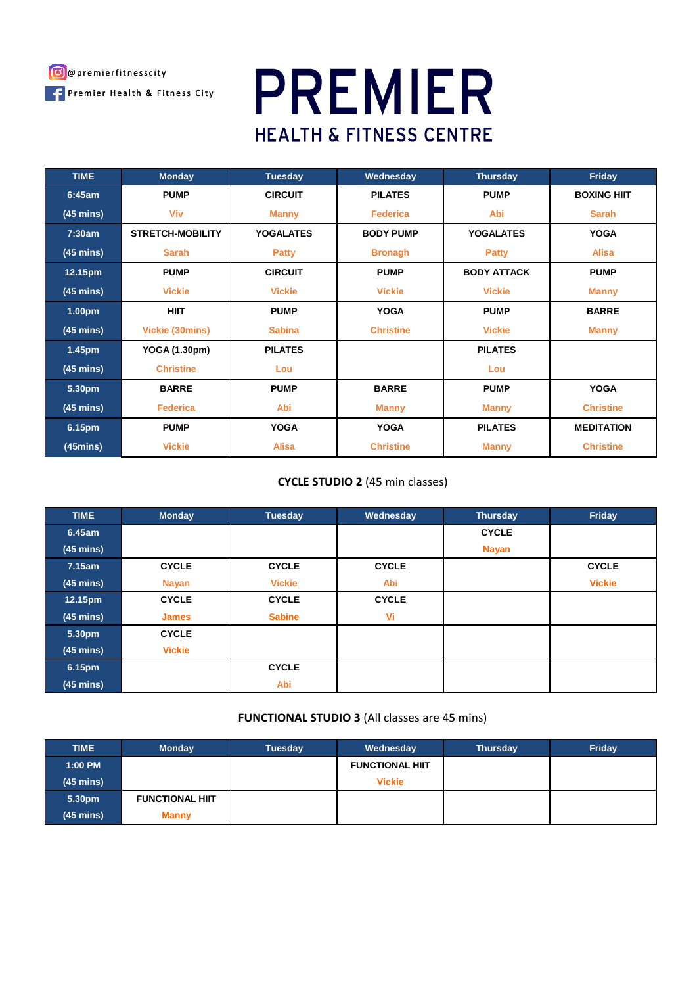

# **PREMIER HEALTH & FITNESS CENTRE**

| <b>TIME</b>           | <b>Monday</b>           | <b>Tuesday</b>   | Wednesday        | <b>Thursday</b>    | Friday             |
|-----------------------|-------------------------|------------------|------------------|--------------------|--------------------|
| 6:45am                | <b>PUMP</b>             | <b>CIRCUIT</b>   | <b>PILATES</b>   | <b>PUMP</b>        | <b>BOXING HIIT</b> |
| $(45 \text{ mins})$   | Viv                     | <b>Manny</b>     | <b>Federica</b>  | Abi                | <b>Sarah</b>       |
| 7:30am                | <b>STRETCH-MOBILITY</b> | <b>YOGALATES</b> | <b>BODY PUMP</b> | <b>YOGALATES</b>   | <b>YOGA</b>        |
| $(45 \text{ mins})$   | <b>Sarah</b>            | <b>Patty</b>     | <b>Bronagh</b>   | <b>Patty</b>       | <b>Alisa</b>       |
| 12.15pm               | <b>PUMP</b>             | <b>CIRCUIT</b>   | <b>PUMP</b>      | <b>BODY ATTACK</b> | <b>PUMP</b>        |
| $(45 \text{ mins})$   | <b>Vickie</b>           | <b>Vickie</b>    | <b>Vickie</b>    | <b>Vickie</b>      | <b>Manny</b>       |
| 1.00pm                | <b>HIIT</b>             | <b>PUMP</b>      | <b>YOGA</b>      | <b>PUMP</b>        | <b>BARRE</b>       |
| $(45 \text{ mins})$   | Vickie (30mins)         | <b>Sabina</b>    | <b>Christine</b> | <b>Vickie</b>      | <b>Manny</b>       |
| 1.45pm                | YOGA (1.30pm)           | <b>PILATES</b>   |                  | <b>PILATES</b>     |                    |
| $(45 \text{ mins})$   | <b>Christine</b>        | Lou              |                  | Lou                |                    |
| 5.30pm                | <b>BARRE</b>            | <b>PUMP</b>      | <b>BARRE</b>     | <b>PUMP</b>        | <b>YOGA</b>        |
| $(45 \text{ mins})$   | <b>Federica</b>         | Abi              | <b>Manny</b>     | <b>Manny</b>       | <b>Christine</b>   |
| 6.15pm                | <b>PUMP</b>             | <b>YOGA</b>      | <b>YOGA</b>      | <b>PILATES</b>     | <b>MEDITATION</b>  |
| (45 <sub>mins</sub> ) | <b>Vickie</b>           | <b>Alisa</b>     | <b>Christine</b> | <b>Manny</b>       | <b>Christine</b>   |

# **CYCLE STUDIO 2** (45 min classes)

| <b>TIME</b>         | <b>Monday</b> | <b>Tuesday</b> | Wednesday    | <b>Thursday</b> | Friday        |
|---------------------|---------------|----------------|--------------|-----------------|---------------|
| 6.45am              |               |                |              | <b>CYCLE</b>    |               |
| $(45 \text{ mins})$ |               |                |              | <b>Nayan</b>    |               |
| 7.15am              | <b>CYCLE</b>  | <b>CYCLE</b>   | <b>CYCLE</b> |                 | <b>CYCLE</b>  |
| $(45 \text{ mins})$ | <b>Nayan</b>  | <b>Vickie</b>  | Abi          |                 | <b>Vickie</b> |
| 12.15pm             | <b>CYCLE</b>  | <b>CYCLE</b>   | <b>CYCLE</b> |                 |               |
| $(45 \text{ mins})$ | <b>James</b>  | <b>Sabine</b>  | Vi           |                 |               |
| 5.30pm              | <b>CYCLE</b>  |                |              |                 |               |
| $(45 \text{ mins})$ | <b>Vickie</b> |                |              |                 |               |
| 6.15pm              |               | <b>CYCLE</b>   |              |                 |               |
| $(45 \text{ mins})$ |               | Abi            |              |                 |               |

# **FUNCTIONAL STUDIO 3** (All classes are 45 mins)

| <b>TIME</b>         | <b>Monday</b>          | <b>Tuesday</b> | Wednesday              | <b>Thursday</b> | Friday |
|---------------------|------------------------|----------------|------------------------|-----------------|--------|
| 1:00 PM             |                        |                | <b>FUNCTIONAL HIIT</b> |                 |        |
| $(45 \text{ mins})$ |                        |                | <b>Vickie</b>          |                 |        |
| 5.30pm              | <b>FUNCTIONAL HIIT</b> |                |                        |                 |        |
| $(45 \text{ mins})$ | <b>Manny</b>           |                |                        |                 |        |